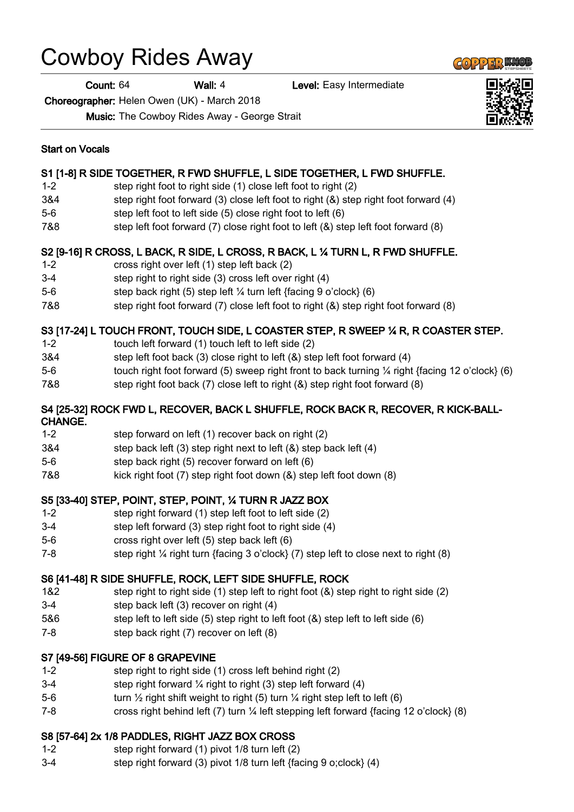# Cowboy Rides Away

Count: 64 Wall: 4 Level: Easy Intermediate

Choreographer: Helen Owen (UK) - March 2018

Music: The Cowboy Rides Away - George Strait

|                                                                                                               | 6] R CROSS, L BACK, R SIDE, L CROSS, R BACK, L ¼ TURN L, R FWD SHUFFLE.<br>cross right over left (1) step left back (2)<br>step right to right side (3) cross left over right (4)<br>step back right (5) step left 1/4 turn left {facing 9 o'clock} (6)<br>step right foot forward (7) close left foot to right (&) step right foot forward (8)                                |
|---------------------------------------------------------------------------------------------------------------|--------------------------------------------------------------------------------------------------------------------------------------------------------------------------------------------------------------------------------------------------------------------------------------------------------------------------------------------------------------------------------|
|                                                                                                               | 24] L TOUCH FRONT, TOUCH SIDE, L COASTER STEP, R SWEEP ¼ R, R COAST<br>touch left forward (1) touch left to left side (2)<br>step left foot back (3) close right to left (&) step left foot forward (4)<br>touch right foot forward (5) sweep right front to back turning 1/4 right {facing 1.<br>step right foot back (7) close left to right (&) step right foot forward (8) |
| 32] ROCK FWD L, RECOVER, BACK L SHUFFLE, ROCK BACK R, RECOVER, R KI<br>ìЕ.                                    |                                                                                                                                                                                                                                                                                                                                                                                |
|                                                                                                               | step forward on left (1) recover back on right (2)<br>step back left (3) step right next to left (&) step back left (4)<br>step back right (5) recover forward on left (6)<br>kick right foot (7) step right foot down (&) step left foot down (8)                                                                                                                             |
|                                                                                                               | 40] STEP, POINT, STEP, POINT, 1⁄4 TURN R JAZZ BOX<br>step right forward (1) step left foot to left side (2)<br>step left forward (3) step right foot to right side (4)<br>cross right over left (5) step back left (6)<br>step right 1/4 right turn {facing 3 o'clock} (7) step left to close next to right (8)                                                                |
|                                                                                                               | 48] R SIDE SHUFFLE, ROCK, LEFT SIDE SHUFFLE, ROCK<br>step right to right side (1) step left to right foot (&) step right to right side (2)<br>step back left (3) recover on right (4)<br>step left to left side (5) step right to left foot (&) step left to left side (6)<br>step back right (7) recover on left (8)                                                          |
|                                                                                                               | 56] FIGURE OF 8 GRAPEVINE<br>step right to right side (1) cross left behind right (2)<br>step right forward $\frac{1}{4}$ right to right (3) step left forward (4)<br>turn $\frac{1}{2}$ right shift weight to right (5) turn $\frac{1}{4}$ right step left to left (6)<br>cross right behind left (7) turn 1/4 left stepping left forward {facing 12 o'clock} (               |
| 64] 2x 1/8 PADDLES, RIGHT JAZZ BOX CROSS<br>atop right forward $(1)$ pure $1/8$ turn $\left  \right.64$ $(2)$ |                                                                                                                                                                                                                                                                                                                                                                                |



**GOPPERENCE** 

Start on Vocals

#### S1 [1-8] R SIDE TOGETHER, R FWD SHUFFLE, L SIDE TOGETHER, L FWD SHUFFLE.

- 1-2 step right foot to right side (1) close left foot to right (2)
- 3&4 step right foot forward (3) close left foot to right (&) step right foot forward (4)
- 5-6 step left foot to left side (5) close right foot to left (6)
- 7&8 step left foot forward (7) close right foot to left (&) step left foot forward (8)

# S2 [9-16] R CROSS, L BACK, R SIDE, L CROSS. R BACK. L 1⁄4 TURN L.

- 1-2 cross right over left (1) step left back (2)
- 3-4 step right to right side (3) cross left over right (4)
- 5-6 step back right (5) step left ¼ turn left {facing 9 o'clock} (6)
- 7&8 step right foot forward (7) close left foot to right (&) step right foot forward (8)

# S3 [17-24] L TOUCH FRONT, TOUCH SIDE, L COASTER STEP, R SWEEP ¼ R, R COASTER STEP.

- 1-2 touch left forward (1) touch left to left side (2)
- 3&4 step left foot back (3) close right to left (&) step left foot forward (4)
- 5-6 touch right foot forward (5) sweep right front to back turning 1/4 right {facing 12 o'clock} (6)
- 7&8 step right foot back (7) close left to right (&) step right foot forward (8)

#### S4 [25-32] ROCK FWD L, RECOVER, BACK L SHUFFLE, ROCK BACK R, RECOVER, R KICK-BALL-**CHANG**

- 1-2 step forward on left (1) recover back on right (2)
- 3&4 step back left (3) step right next to left (&) step back left (4)
- 5-6 step back right (5) recover forward on left (6)
- 7&8 kick right foot (7) step right foot down (&) step left foot down (8)

## S5 [33-4

- 1-2 step right forward (1) step left foot to left side (2)
- 3-4 step left forward (3) step right foot to right side (4)
- 5-6 cross right over left (5) step back left (6)
- 7-8 step right ¼ right turn {facing 3 o'clock} (7) step left to close next to right (8)

## S6 [41-4

- 1&2 step right to right side (1) step left to right foot (&) step right to right side (2)
- 3-4 step back left (3) recover on right (4)
- 5&6 step left to left side (5) step right to left foot (&) step left to left side (6)
- 7-8 step back right (7) recover on left (8)

# S7 [49-5

- 1-2 step right to right side (1) cross left behind right (2)
- 3-4 step right forward ¼ right to right (3) step left forward (4)
- 5-6 turn  $\frac{1}{2}$  right shift weight to right (5) turn  $\frac{1}{4}$  right step left to left (6)
- 7-8 cross right behind left (7) turn 1⁄4 left stepping left forward {facing 12 o'clock} (8)

# S8 [57-4]

- 1-2 step right forward (1) pivot 1/8 turn left (2)
- 3-4 step right forward (3) pivot 1/8 turn left {facing 9 o;clock} (4)